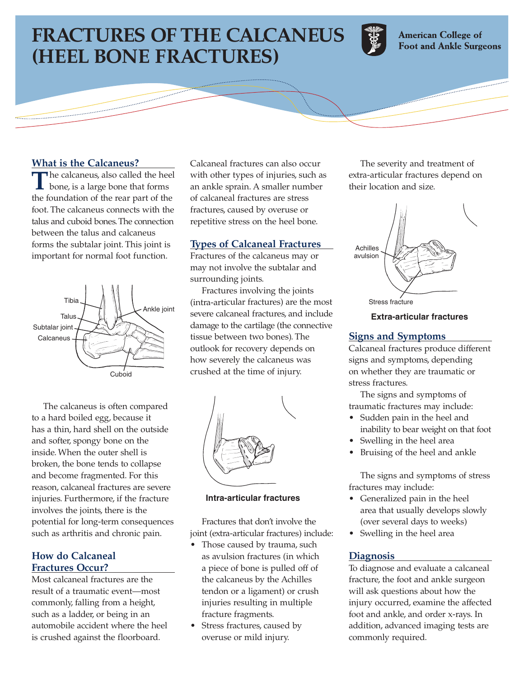# **FRACTURES OF THE CALCANEUS (HEEL BONE FRACTURES)**



**American College of Foot and Ankle Surgeons** 

## **What is the Calcaneus?**

The calcaneus, also called the heel<br>bone, is a large bone that forms the foundation of the rear part of the foot. The calcaneus connects with the talus and cuboid bones.The connection between the talus and calcaneus forms the subtalar joint. This joint is important for normal foot function.



The calcaneus is often compared to a hard boiled egg, because it has a thin, hard shell on the outside and softer, spongy bone on the inside. When the outer shell is broken, the bone tends to collapse and become fragmented. For this reason, calcaneal fractures are severe injuries. Furthermore, if the fracture involves the joints, there is the potential for long-term consequences such as arthritis and chronic pain.

## **How do Calcaneal Fractures Occur?**

Most calcaneal fractures are the result of a traumatic event—most commonly, falling from a height, such as a ladder, or being in an automobile accident where the heel is crushed against the floorboard.

Calcaneal fractures can also occur with other types of injuries, such as an ankle sprain. A smaller number of calcaneal fractures are stress fractures, caused by overuse or repetitive stress on the heel bone.

## **Types of Calcaneal Fractures**

Fractures of the calcaneus may or may not involve the subtalar and surrounding joints.

Fractures involving the joints (intra-articular fractures) are the most severe calcaneal fractures, and include damage to the cartilage (the connective tissue between two bones). The outlook for recovery depends on how severely the calcaneus was crushed at the time of injury.



#### **Intra-articular fractures**

Fractures that don't involve the joint (extra-articular fractures) include:

- Those caused by trauma, such as avulsion fractures (in which a piece of bone is pulled off of the calcaneus by the Achilles tendon or a ligament) or crush injuries resulting in multiple fracture fragments.
- Stress fractures, caused by overuse or mild injury.

The severity and treatment of extra-articular fractures depend on their location and size.



**Extra-articular fractures**

### **Signs and Symptoms**

Calcaneal fractures produce different signs and symptoms, depending on whether they are traumatic or stress fractures.

The signs and symptoms of traumatic fractures may include:

- Sudden pain in the heel and inability to bear weight on that foot
- Swelling in the heel area
- Bruising of the heel and ankle

The signs and symptoms of stress fractures may include:

- Generalized pain in the heel area that usually develops slowly (over several days to weeks)
- Swelling in the heel area

## **Diagnosis**

To diagnose and evaluate a calcaneal fracture, the foot and ankle surgeon will ask questions about how the injury occurred, examine the affected foot and ankle, and order x-rays. In addition, advanced imaging tests are commonly required.